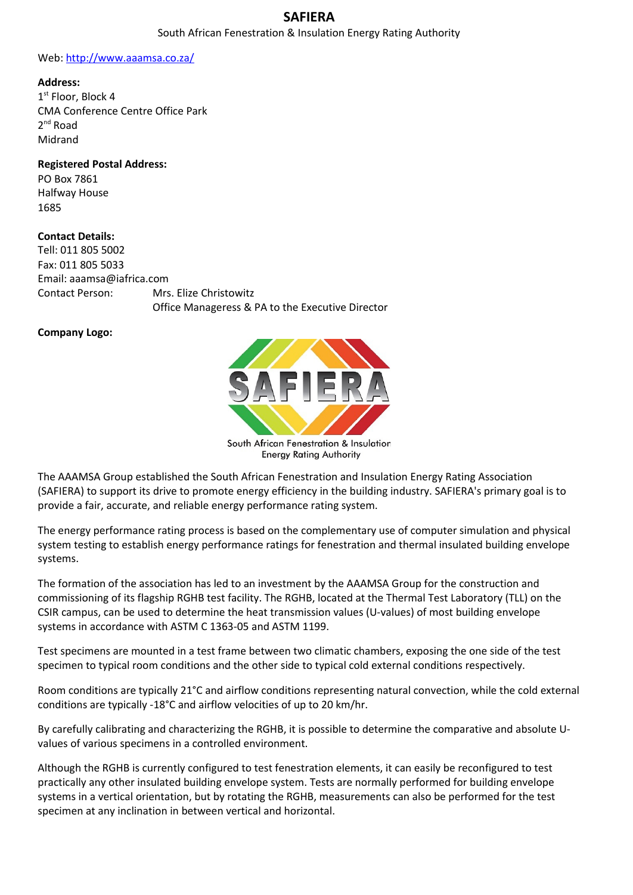## **SAFIERA**

#### South African Fenestration & Insulation Energy Rating Authority

#### Web: [http://www.aaamsa.co.za/](http://www.aaamsa.co.za/about.html)

#### **Address:**

1 st Floor, Block 4 CMA Conference Centre Office Park 2<sup>nd</sup> Road Midrand

## **Registered Postal Address:**

PO Box 7861 Halfway House 1685

### **Contact Details:**

Tell: 011 805 5002 Fax: 011 805 5033 Email: aaamsa@iafrica.com Contact Person: Mrs. Elize Christowitz Office Manageress & PA to the Executive Director

### **Company Logo:**



The AAAMSA Group established the South African Fenestration and Insulation Energy Rating Association (SAFIERA) to support its drive to promote energy efficiency in the building industry. SAFIERA's primary goal is to provide a fair, accurate, and reliable energy performance rating system.

The energy performance rating process is based on the complementary use of computer simulation and physical system testing to establish energy performance ratings for fenestration and thermal insulated building envelope systems.

The formation of the association has led to an investment by the AAAMSA Group for the construction and commissioning of its flagship RGHB test facility. The RGHB, located at the Thermal Test Laboratory (TLL) on the CSIR campus, can be used to determine the heat transmission values (U-values) of most building envelope systems in accordance with ASTM C 1363-05 and ASTM 1199.

Test specimens are mounted in a test frame between two climatic chambers, exposing the one side of the test specimen to typical room conditions and the other side to typical cold external conditions respectively.

Room conditions are typically 21°C and airflow conditions representing natural convection, while the cold external conditions are typically -18°C and airflow velocities of up to 20 km/hr.

By carefully calibrating and characterizing the RGHB, it is possible to determine the comparative and absolute Uvalues of various specimens in a controlled environment.

Although the RGHB is currently configured to test fenestration elements, it can easily be reconfigured to test practically any other insulated building envelope system. Tests are normally performed for building envelope systems in a vertical orientation, but by rotating the RGHB, measurements can also be performed for the test specimen at any inclination in between vertical and horizontal.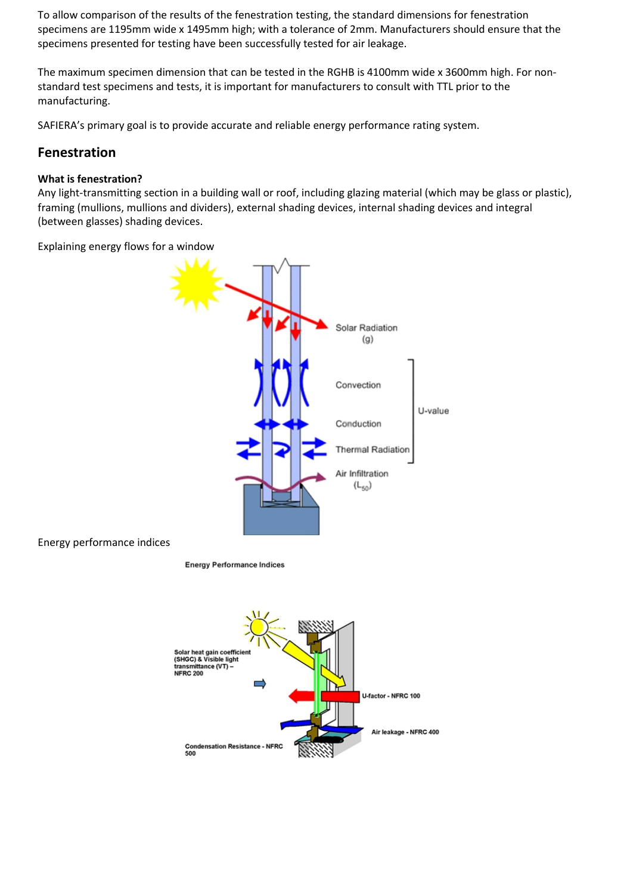To allow comparison of the results of the fenestration testing, the standard dimensions for fenestration specimens are 1195mm wide x 1495mm high; with a tolerance of 2mm. Manufacturers should ensure that the specimens presented for testing have been successfully tested for air leakage.

The maximum specimen dimension that can be tested in the RGHB is 4100mm wide x 3600mm high. For nonstandard test specimens and tests, it is important for manufacturers to consult with TTL prior to the manufacturing.

SAFIERA's primary goal is to provide accurate and reliable energy performance rating system.

## **Fenestration**

## **What is fenestration?**

Any light-transmitting section in a building wall or roof, including glazing material (which may be glass or plastic), framing (mullions, mullions and dividers), external shading devices, internal shading devices and integral (between glasses) shading devices.

Explaining energy flows for a window



Energy performance indices

**Energy Performance Indices** 

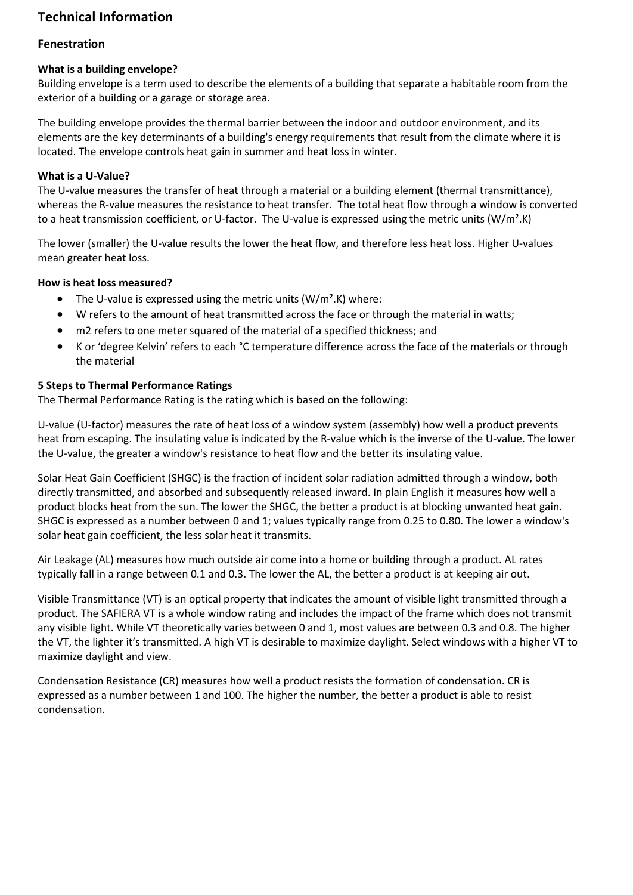# **Technical Information**

## **Fenestration**

## **What is a building envelope?**

Building envelope is a term used to describe the elements of a building that separate a habitable room from the exterior of a building or a garage or storage area.

The building envelope provides the thermal barrier between the indoor and outdoor environment, and its elements are the key determinants of a building's energy requirements that result from the climate where it is located. The envelope controls heat gain in summer and heat loss in winter.

## **What is a U-Value?**

The U-value measures the transfer of heat through a material or a building element (thermal transmittance), whereas the R-value measures the resistance to heat transfer. The total heat flow through a window is converted to a heat transmission coefficient, or U-factor. The U-value is expressed using the metric units (W/m<sup>2</sup>.K)

The lower (smaller) the U-value results the lower the heat flow, and therefore less heat loss. Higher U-values mean greater heat loss.

### **How is heat loss measured?**

- The U-value is expressed using the metric units  $(W/m<sup>2</sup>.K)$  where:
- W refers to the amount of heat transmitted across the face or through the material in watts;
- m2 refers to one meter squared of the material of a specified thickness; and
- K or 'degree Kelvin' refers to each °C temperature difference across the face of the materials or through the material

### **5 Steps to Thermal Performance Ratings**

The Thermal Performance Rating is the rating which is based on the following:

U-value (U-factor) measures the rate of heat loss of a window system (assembly) how well a product prevents heat from escaping. The insulating value is indicated by the R-value which is the inverse of the U-value. The lower the U-value, the greater a window's resistance to heat flow and the better its insulating value.

Solar Heat Gain Coefficient (SHGC) is the fraction of incident solar radiation admitted through a window, both directly transmitted, and absorbed and subsequently released inward. In plain English it measures how well a product blocks heat from the sun. The lower the SHGC, the better a product is at blocking unwanted heat gain. SHGC is expressed as a number between 0 and 1; values typically range from 0.25 to 0.80. The lower a window's solar heat gain coefficient, the less solar heat it transmits.

Air Leakage (AL) measures how much outside air come into a home or building through a product. AL rates typically fall in a range between 0.1 and 0.3. The lower the AL, the better a product is at keeping air out.

Visible Transmittance (VT) is an optical property that indicates the amount of visible light transmitted through a product. The SAFIERA VT is a whole window rating and includes the impact of the frame which does not transmit any visible light. While VT theoretically varies between 0 and 1, most values are between 0.3 and 0.8. The higher the VT, the lighter it's transmitted. A high VT is desirable to maximize daylight. Select windows with a higher VT to maximize daylight and view.

Condensation Resistance (CR) measures how well a product resists the formation of condensation. CR is expressed as a number between 1 and 100. The higher the number, the better a product is able to resist condensation.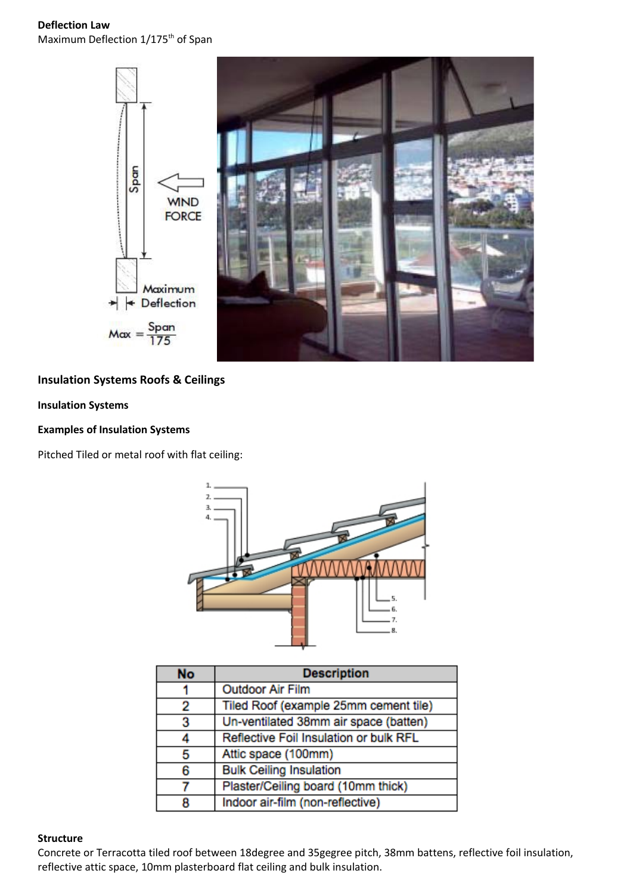**Deflection Law** Maximum Deflection 1/175<sup>th</sup> of Span



## **Insulation Systems Roofs & Ceilings**

## **Insulation Systems**

### **Examples of Insulation Systems**

Pitched Tiled or metal roof with flat ceiling:



| <b>No</b> | <b>Description</b>                     |  |
|-----------|----------------------------------------|--|
|           | <b>Outdoor Air Film</b>                |  |
| 2         | Tiled Roof (example 25mm cement tile)  |  |
| з         | Un-ventilated 38mm air space (batten)  |  |
|           | Reflective Foil Insulation or bulk RFL |  |
| 5         | Attic space (100mm)                    |  |
| 6         | <b>Bulk Ceiling Insulation</b>         |  |
|           | Plaster/Ceiling board (10mm thick)     |  |
|           | Indoor air-film (non-reflective)       |  |

#### **Structure**

Concrete or Terracotta tiled roof between 18degree and 35gegree pitch, 38mm battens, reflective foil insulation, reflective attic space, 10mm plasterboard flat ceiling and bulk insulation.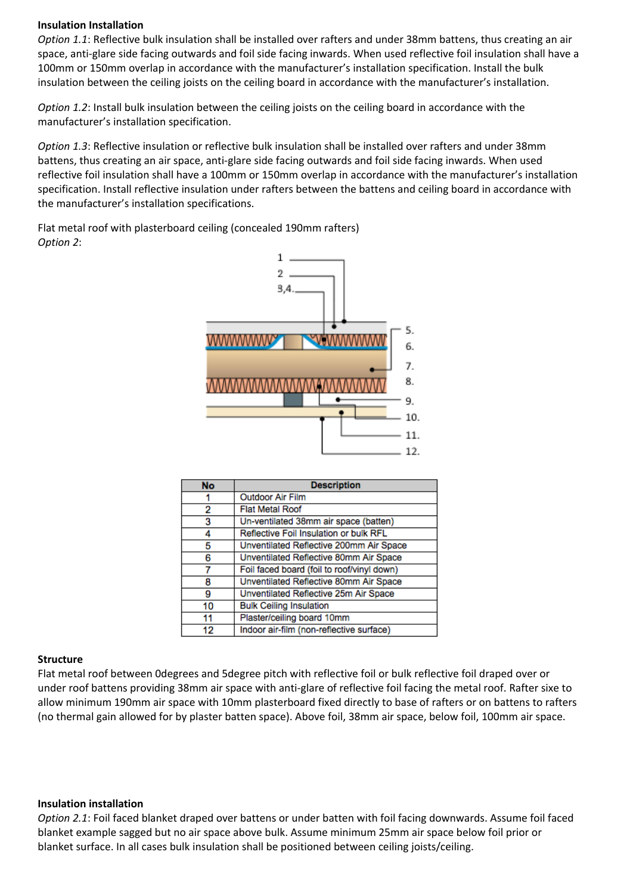#### **Insulation Installation**

*Option 1.1*: Reflective bulk insulation shall be installed over rafters and under 38mm battens, thus creating an air space, anti-glare side facing outwards and foil side facing inwards. When used reflective foil insulation shall have a 100mm or 150mm overlap in accordance with the manufacturer's installation specification. Install the bulk insulation between the ceiling joists on the ceiling board in accordance with the manufacturer's installation.

*Option 1.2*: Install bulk insulation between the ceiling joists on the ceiling board in accordance with the manufacturer's installation specification.

*Option 1.3*: Reflective insulation or reflective bulk insulation shall be installed over rafters and under 38mm battens, thus creating an air space, anti-glare side facing outwards and foil side facing inwards. When used reflective foil insulation shall have a 100mm or 150mm overlap in accordance with the manufacturer's installation specification. Install reflective insulation under rafters between the battens and ceiling board in accordance with the manufacturer's installation specifications.



| No | <b>Description</b>                         |  |
|----|--------------------------------------------|--|
|    | <b>Outdoor Air Film</b>                    |  |
| 2  | <b>Flat Metal Roof</b>                     |  |
| 3  | Un-ventilated 38mm air space (batten)      |  |
|    | Reflective Foil Insulation or bulk RFL     |  |
| 5  | Unventilated Reflective 200mm Air Space    |  |
| 6  | Unventilated Reflective 80mm Air Space     |  |
|    | Foil faced board (foil to roof/vinyl down) |  |
| я  | Unventilated Reflective 80mm Air Space     |  |
| а  | Unventilated Reflective 25m Air Space      |  |
| 10 | <b>Bulk Ceiling Insulation</b>             |  |
| 11 | Plaster/ceiling board 10mm                 |  |
| 12 | Indoor air-film (non-reflective surface)   |  |

## Flat metal roof with plasterboard ceiling (concealed 190mm rafters) *Option 2*:

## **Structure**

Flat metal roof between 0degrees and 5degree pitch with reflective foil or bulk reflective foil draped over or under roof battens providing 38mm air space with anti-glare of reflective foil facing the metal roof. Rafter sixe to allow minimum 190mm air space with 10mm plasterboard fixed directly to base of rafters or on battens to rafters (no thermal gain allowed for by plaster batten space). Above foil, 38mm air space, below foil, 100mm air space.

### **Insulation installation**

*Option 2.1*: Foil faced blanket draped over battens or under batten with foil facing downwards. Assume foil faced blanket example sagged but no air space above bulk. Assume minimum 25mm air space below foil prior or blanket surface. In all cases bulk insulation shall be positioned between ceiling joists/ceiling.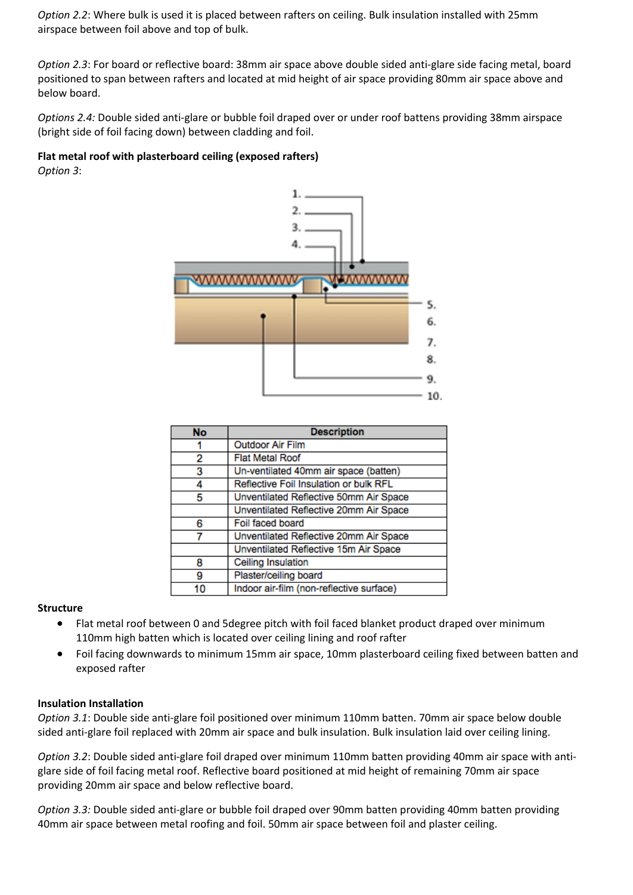*Option 2.2*: Where bulk is used it is placed between rafters on ceiling. Bulk insulation installed with 25mm airspace between foil above and top of bulk.

*Option 2.3*: For board or reflective board: 38mm air space above double sided anti-glare side facing metal, board positioned to span between rafters and located at mid height of air space providing 80mm air space above and below board.

*Options 2.4:* Double sided anti-glare or bubble foil draped over or under roof battens providing 38mm airspace (bright side of foil facing down) between cladding and foil.

### **Flat metal roof with plasterboard ceiling (exposed rafters)** *Option 3*:



| <b>No</b> | <b>Description</b>                       |  |
|-----------|------------------------------------------|--|
|           | <b>Outdoor Air Film</b>                  |  |
| 2         | <b>Flat Metal Roof</b>                   |  |
| з         | Un-ventilated 40mm air space (batten)    |  |
| 4         | Reflective Foil Insulation or bulk RFL   |  |
| 5         | Unventilated Reflective 50mm Air Space   |  |
|           | Unventilated Reflective 20mm Air Space   |  |
| 6         | Foil faced board                         |  |
|           | Unventilated Reflective 20mm Air Space   |  |
|           | Unventilated Reflective 15m Air Space    |  |
| 8         | Ceiling Insulation                       |  |
| 9         | Plaster/ceiling board                    |  |
| 10        | Indoor air-film (non-reflective surface) |  |

### **Structure**

- Flat metal roof between 0 and 5degree pitch with foil faced blanket product draped over minimum 110mm high batten which is located over ceiling lining and roof rafter
- Foil facing downwards to minimum 15mm air space, 10mm plasterboard ceiling fixed between batten and exposed rafter

### **Insulation Installation**

*Option 3.1*: Double side anti-glare foil positioned over minimum 110mm batten. 70mm air space below double sided anti-glare foil replaced with 20mm air space and bulk insulation. Bulk insulation laid over ceiling lining.

*Option 3.2*: Double sided anti-glare foil draped over minimum 110mm batten providing 40mm air space with antiglare side of foil facing metal roof. Reflective board positioned at mid height of remaining 70mm air space providing 20mm air space and below reflective board.

*Option 3.3:* Double sided anti-glare or bubble foil draped over 90mm batten providing 40mm batten providing 40mm air space between metal roofing and foil. 50mm air space between foil and plaster ceiling.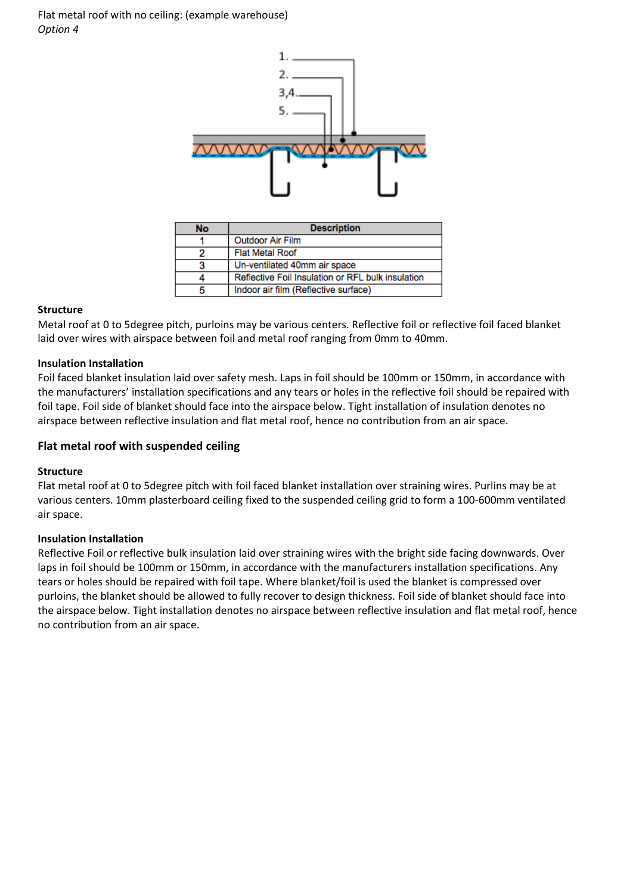Flat metal roof with no ceiling: (example warehouse) *Option 4*



| No | <b>Description</b>                                |  |
|----|---------------------------------------------------|--|
|    | <b>Outdoor Air Film</b>                           |  |
|    | <b>Flat Metal Roof</b>                            |  |
|    | Un-ventilated 40mm air space                      |  |
|    | Reflective Foil Insulation or RFL bulk insulation |  |
|    | Indoor air film (Reflective surface)              |  |

### **Structure**

Metal roof at 0 to 5degree pitch, purloins may be various centers. Reflective foil or reflective foil faced blanket laid over wires with airspace between foil and metal roof ranging from 0mm to 40mm.

#### **Insulation Installation**

Foil faced blanket insulation laid over safety mesh. Laps in foil should be 100mm or 150mm, in accordance with the manufacturers' installation specifications and any tears or holes in the reflective foil should be repaired with foil tape. Foil side of blanket should face into the airspace below. Tight installation of insulation denotes no airspace between reflective insulation and flat metal roof, hence no contribution from an air space.

#### **Flat metal roof with suspended ceiling**

#### **Structure**

Flat metal roof at 0 to 5degree pitch with foil faced blanket installation over straining wires. Purlins may be at various centers. 10mm plasterboard ceiling fixed to the suspended ceiling grid to form a 100-600mm ventilated air space.

#### **Insulation Installation**

Reflective Foil or reflective bulk insulation laid over straining wires with the bright side facing downwards. Over laps in foil should be 100mm or 150mm, in accordance with the manufacturers installation specifications. Any tears or holes should be repaired with foil tape. Where blanket/foil is used the blanket is compressed over purloins, the blanket should be allowed to fully recover to design thickness. Foil side of blanket should face into the airspace below. Tight installation denotes no airspace between reflective insulation and flat metal roof, hence no contribution from an air space.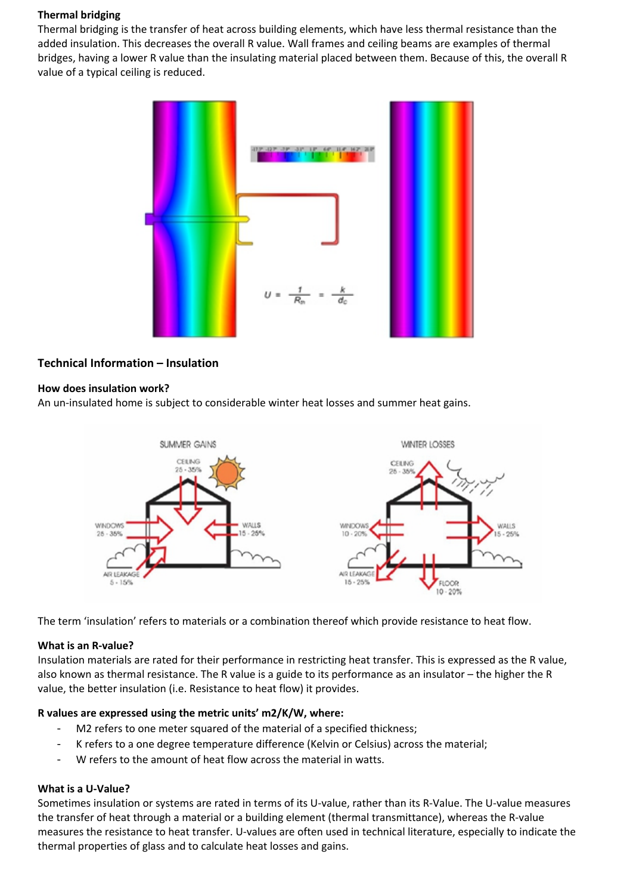### **Thermal bridging**

Thermal bridging is the transfer of heat across building elements, which have less thermal resistance than the added insulation. This decreases the overall R value. Wall frames and ceiling beams are examples of thermal bridges, having a lower R value than the insulating material placed between them. Because of this, the overall R value of a typical ceiling is reduced.



## **Technical Information – Insulation**

## **How does insulation work?**

An un-insulated home is subject to considerable winter heat losses and summer heat gains.



The term 'insulation' refers to materials or a combination thereof which provide resistance to heat flow.

## **What is an R-value?**

Insulation materials are rated for their performance in restricting heat transfer. This is expressed as the R value, also known as thermal resistance. The R value is a guide to its performance as an insulator – the higher the R value, the better insulation (i.e. Resistance to heat flow) it provides.

## **R values are expressed using the metric units' m2/K/W, where:**

- M2 refers to one meter squared of the material of a specified thickness;
- K refers to a one degree temperature difference (Kelvin or Celsius) across the material;
- W refers to the amount of heat flow across the material in watts.

## **What is a U-Value?**

Sometimes insulation or systems are rated in terms of its U-value, rather than its R-Value. The U-value measures the transfer of heat through a material or a building element (thermal transmittance), whereas the R-value measures the resistance to heat transfer. U-values are often used in technical literature, especially to indicate the thermal properties of glass and to calculate heat losses and gains.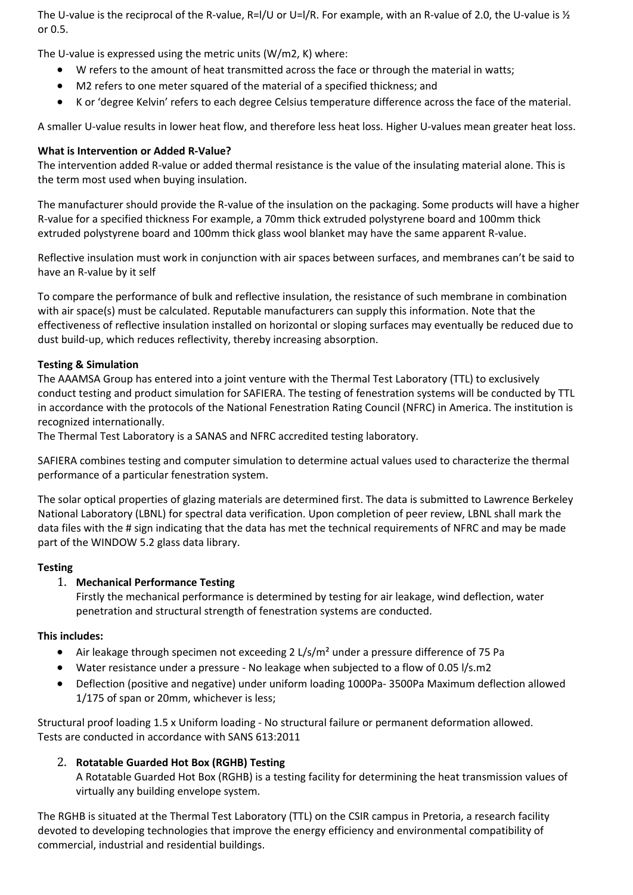The U-value is the reciprocal of the R-value, R=I/U or U=I/R. For example, with an R-value of 2.0, the U-value is  $\frac{1}{2}$ or 0.5.

The U-value is expressed using the metric units (W/m2, K) where:

- W refers to the amount of heat transmitted across the face or through the material in watts;
- M2 refers to one meter squared of the material of a specified thickness; and
- K or 'degree Kelvin' refers to each degree Celsius temperature difference across the face of the material.

A smaller U-value results in lower heat flow, and therefore less heat loss. Higher U-values mean greater heat loss.

## **What is Intervention or Added R-Value?**

The intervention added R-value or added thermal resistance is the value of the insulating material alone. This is the term most used when buying insulation.

The manufacturer should provide the R-value of the insulation on the packaging. Some products will have a higher R-value for a specified thickness For example, a 70mm thick extruded polystyrene board and 100mm thick extruded polystyrene board and 100mm thick glass wool blanket may have the same apparent R-value.

Reflective insulation must work in conjunction with air spaces between surfaces, and membranes can't be said to have an R-value by it self

To compare the performance of bulk and reflective insulation, the resistance of such membrane in combination with air space(s) must be calculated. Reputable manufacturers can supply this information. Note that the effectiveness of reflective insulation installed on horizontal or sloping surfaces may eventually be reduced due to dust build-up, which reduces reflectivity, thereby increasing absorption.

### **Testing & Simulation**

The AAAMSA Group has entered into a joint venture with the Thermal Test Laboratory (TTL) to exclusively conduct testing and product simulation for SAFIERA. The testing of fenestration systems will be conducted by TTL in accordance with the protocols of the National Fenestration Rating Council (NFRC) in America. The institution is recognized internationally.

The Thermal Test Laboratory is a SANAS and NFRC accredited testing laboratory.

SAFIERA combines testing and computer simulation to determine actual values used to characterize the thermal performance of a particular fenestration system.

The solar optical properties of glazing materials are determined first. The data is submitted to Lawrence Berkeley National Laboratory (LBNL) for spectral data verification. Upon completion of peer review, LBNL shall mark the data files with the # sign indicating that the data has met the technical requirements of NFRC and may be made part of the WINDOW 5.2 glass data library.

### **Testing**

## 1. **Mechanical Performance Testing**

Firstly the mechanical performance is determined by testing for air leakage, wind deflection, water penetration and structural strength of fenestration systems are conducted.

### **This includes:**

- Air leakage through specimen not exceeding 2  $L/s/m<sup>2</sup>$  under a pressure difference of 75 Pa
- Water resistance under a pressure No leakage when subjected to a flow of 0.05 l/s.m2
- Deflection (positive and negative) under uniform loading 1000Pa- 3500Pa Maximum deflection allowed 1/175 of span or 20mm, whichever is less;

Structural proof loading 1.5 x Uniform loading - No structural failure or permanent deformation allowed. Tests are conducted in accordance with SANS 613:2011

## 2. **Rotatable Guarded Hot Box (RGHB) Testing**

A Rotatable Guarded Hot Box (RGHB) is a testing facility for determining the heat transmission values of virtually any building envelope system.

The RGHB is situated at the Thermal Test Laboratory (TTL) on the CSIR campus in Pretoria, a research facility devoted to developing technologies that improve the energy efficiency and environmental compatibility of commercial, industrial and residential buildings.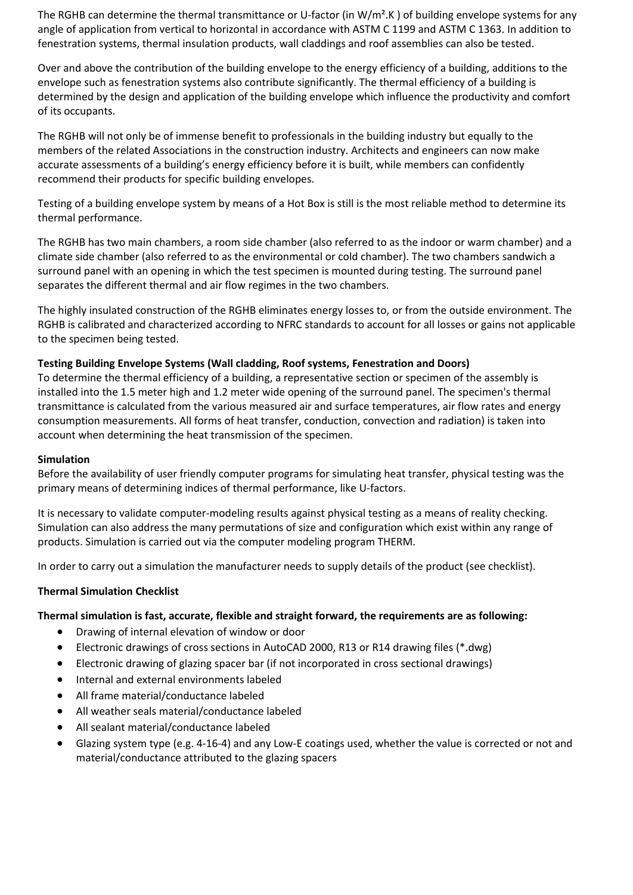The RGHB can determine the thermal transmittance or U-factor (in  $W/m^2$ .K) of building envelope systems for any angle of application from vertical to horizontal in accordance with ASTM C 1199 and ASTM C 1363. In addition to fenestration systems, thermal insulation products, wall claddings and roof assemblies can also be tested.

Over and above the contribution of the building envelope to the energy efficiency of a building, additions to the envelope such as fenestration systems also contribute significantly. The thermal efficiency of a building is determined by the design and application of the building envelope which influence the productivity and comfort of its occupants.

The RGHB will not only be of immense benefit to professionals in the building industry but equally to the members of the related Associations in the construction industry. Architects and engineers can now make accurate assessments of a building's energy efficiency before it is built, while members can confidently recommend their products for specific building envelopes.

Testing of a building envelope system by means of a Hot Box is still is the most reliable method to determine its thermal performance.

The RGHB has two main chambers, a room side chamber (also referred to as the indoor or warm chamber) and a climate side chamber (also referred to as the environmental or cold chamber). The two chambers sandwich a surround panel with an opening in which the test specimen is mounted during testing. The surround panel separates the different thermal and air flow regimes in the two chambers.

The highly insulated construction of the RGHB eliminates energy losses to, or from the outside environment. The RGHB is calibrated and characterized according to NFRC standards to account for all losses or gains not applicable to the specimen being tested.

### **Testing Building Envelope Systems (Wall cladding, Roof systems, Fenestration and Doors)**

To determine the thermal efficiency of a building, a representative section or specimen of the assembly is installed into the 1.5 meter high and 1.2 meter wide opening of the surround panel. The specimen's thermal transmittance is calculated from the various measured air and surface temperatures, air flow rates and energy consumption measurements. All forms of heat transfer, conduction, convection and radiation) is taken into account when determining the heat transmission of the specimen.

### **Simulation**

Before the availability of user friendly computer programs for simulating heat transfer, physical testing was the primary means of determining indices of thermal performance, like U-factors.

It is necessary to validate computer-modeling results against physical testing as a means of reality checking. Simulation can also address the many permutations of size and configuration which exist within any range of products. Simulation is carried out via the computer modeling program THERM.

In order to carry out a simulation the manufacturer needs to supply details of the product (see checklist).

### **Thermal Simulation Checklist**

### **Thermal simulation is fast, accurate, flexible and straight forward, the requirements are as following:**

- Drawing of internal elevation of window or door
- Electronic drawings of cross sections in AutoCAD 2000, R13 or R14 drawing files (\*.dwg)
- Electronic drawing of glazing spacer bar (if not incorporated in cross sectional drawings)
- Internal and external environments labeled
- All frame material/conductance labeled
- All weather seals material/conductance labeled
- All sealant material/conductance labeled
- Glazing system type (e.g. 4-16-4) and any Low-E coatings used, whether the value is corrected or not and material/conductance attributed to the glazing spacers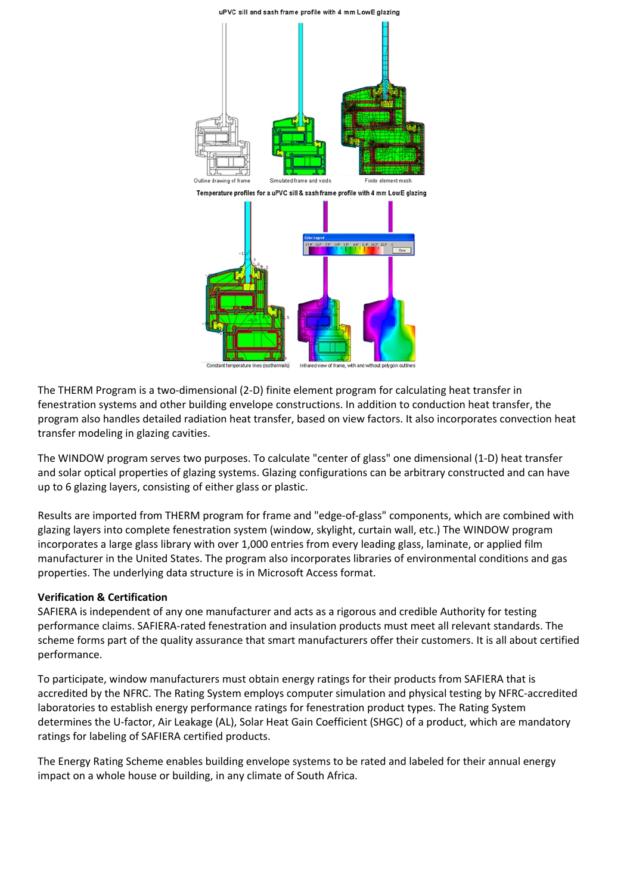



The THERM Program is a two-dimensional (2-D) finite element program for calculating heat transfer in fenestration systems and other building envelope constructions. In addition to conduction heat transfer, the program also handles detailed radiation heat transfer, based on view factors. It also incorporates convection heat transfer modeling in glazing cavities.

The WINDOW program serves two purposes. To calculate "center of glass" one dimensional (1-D) heat transfer and solar optical properties of glazing systems. Glazing configurations can be arbitrary constructed and can have up to 6 glazing layers, consisting of either glass or plastic.

Results are imported from THERM program for frame and "edge-of-glass" components, which are combined with glazing layers into complete fenestration system (window, skylight, curtain wall, etc.) The WINDOW program incorporates a large glass library with over 1,000 entries from every leading glass, laminate, or applied film manufacturer in the United States. The program also incorporates libraries of environmental conditions and gas properties. The underlying data structure is in Microsoft Access format.

### **Verification & Certification**

SAFIERA is independent of any one manufacturer and acts as a rigorous and credible Authority for testing performance claims. SAFIERA-rated fenestration and insulation products must meet all relevant standards. The scheme forms part of the quality assurance that smart manufacturers offer their customers. It is all about certified performance.

To participate, window manufacturers must obtain energy ratings for their products from SAFIERA that is accredited by the NFRC. The Rating System employs computer simulation and physical testing by NFRC-accredited laboratories to establish energy performance ratings for fenestration product types. The Rating System determines the U-factor, Air Leakage (AL), Solar Heat Gain Coefficient (SHGC) of a product, which are mandatory ratings for labeling of SAFIERA certified products.

The Energy Rating Scheme enables building envelope systems to be rated and labeled for their annual energy impact on a whole house or building, in any climate of South Africa.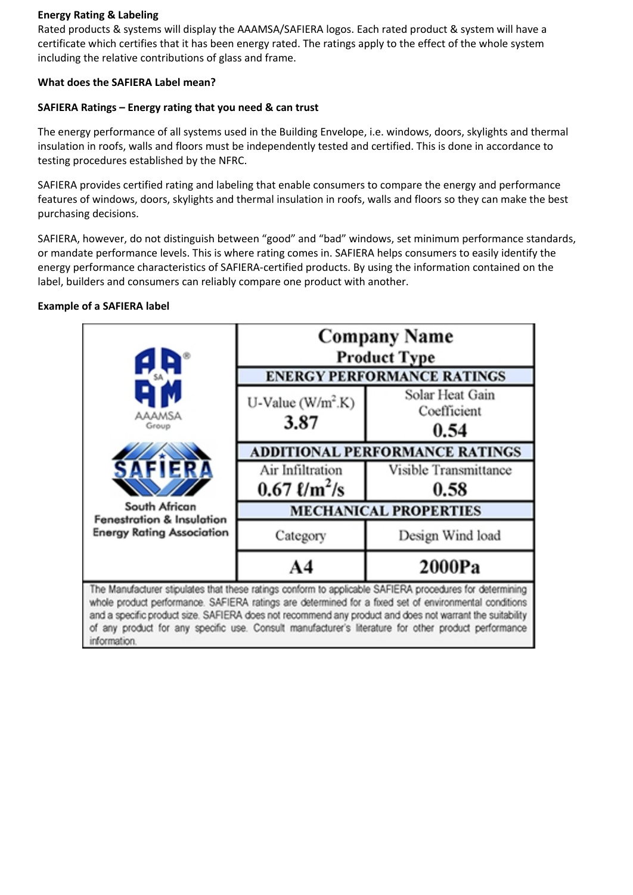## **Energy Rating & Labeling**

Rated products & systems will display the AAAMSA/SAFIERA logos. Each rated product & system will have a certificate which certifies that it has been energy rated. The ratings apply to the effect of the whole system including the relative contributions of glass and frame.

## **What does the SAFIERA Label mean?**

### **SAFIERA Ratings – Energy rating that you need & can trust**

The energy performance of all systems used in the Building Envelope, i.e. windows, doors, skylights and thermal insulation in roofs, walls and floors must be independently tested and certified. This is done in accordance to testing procedures established by the NFRC.

SAFIERA provides certified rating and labeling that enable consumers to compare the energy and performance features of windows, doors, skylights and thermal insulation in roofs, walls and floors so they can make the best purchasing decisions.

SAFIERA, however, do not distinguish between "good" and "bad" windows, set minimum performance standards, or mandate performance levels. This is where rating comes in. SAFIERA helps consumers to easily identify the energy performance characteristics of SAFIERA-certified products. By using the information contained on the label, builders and consumers can reliably compare one product with another.

## **Example of a SAFIERA label**

information.

|                                                                                                                                                                                                                                                                                                                                                                                                                                      | <b>Company Name</b><br><b>Product Type</b><br><b>ENERGY PERFORMANCE RATINGS</b> |                                        |  |  |  |
|--------------------------------------------------------------------------------------------------------------------------------------------------------------------------------------------------------------------------------------------------------------------------------------------------------------------------------------------------------------------------------------------------------------------------------------|---------------------------------------------------------------------------------|----------------------------------------|--|--|--|
| <b>AAAMSA</b><br>Group                                                                                                                                                                                                                                                                                                                                                                                                               | U-Value $(W/m^2.K)$<br>3.87                                                     | Solar Heat Gain<br>Coefficient<br>0.54 |  |  |  |
|                                                                                                                                                                                                                                                                                                                                                                                                                                      | <b>ADDITIONAL PERFORMANCE RATINGS</b>                                           |                                        |  |  |  |
| SAFIERA                                                                                                                                                                                                                                                                                                                                                                                                                              | Air Infiltration                                                                | Visible Transmittance                  |  |  |  |
|                                                                                                                                                                                                                                                                                                                                                                                                                                      | $0.67 \frac{\ell}{m^2}}$ /s                                                     | 0.58                                   |  |  |  |
| South African<br>Fenestration & Insulation                                                                                                                                                                                                                                                                                                                                                                                           | <b>MECHANICAL PROPERTIES</b>                                                    |                                        |  |  |  |
| <b>Energy Rating Association</b>                                                                                                                                                                                                                                                                                                                                                                                                     | Category                                                                        | Design Wind load                       |  |  |  |
|                                                                                                                                                                                                                                                                                                                                                                                                                                      |                                                                                 | 2000Pa                                 |  |  |  |
| The Manufacturer stipulates that these ratings conform to applicable SAFIERA procedures for determining<br>whole product performance. SAFIERA ratings are determined for a fixed set of environmental conditions<br>and a specific product size. SAFIERA does not recommend any product and does not warrant the suitability<br>of any product for any specific use. Consult manufacturer's literature for other product performance |                                                                                 |                                        |  |  |  |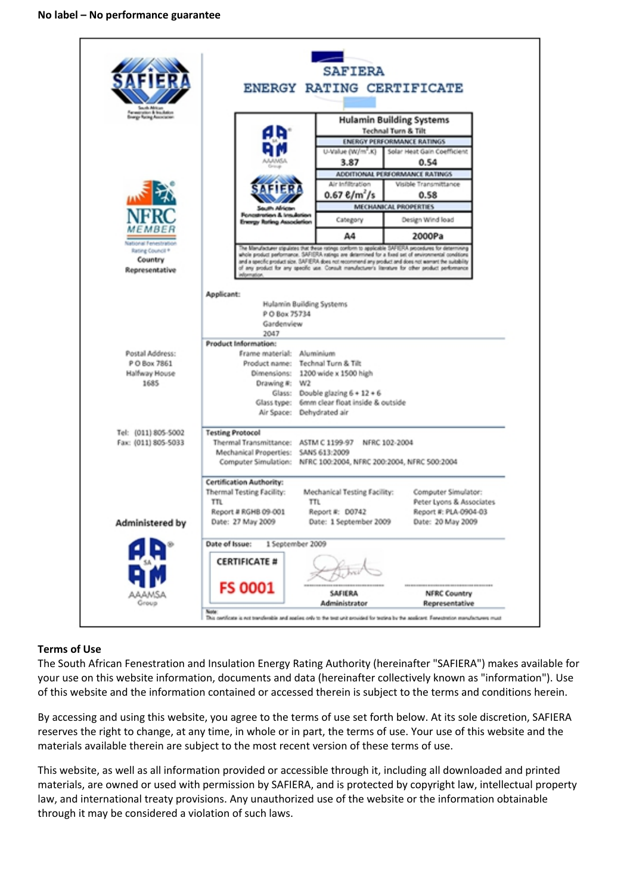

### **Terms of Use**

The South African Fenestration and Insulation Energy Rating Authority (hereinafter "SAFIERA") makes available for your use on this website information, documents and data (hereinafter collectively known as "information"). Use of this website and the information contained or accessed therein is subject to the terms and conditions herein.

By accessing and using this website, you agree to the terms of use set forth below. At its sole discretion, SAFIERA reserves the right to change, at any time, in whole or in part, the terms of use. Your use of this website and the materials available therein are subject to the most recent version of these terms of use.

This website, as well as all information provided or accessible through it, including all downloaded and printed materials, are owned or used with permission by SAFIERA, and is protected by copyright law, intellectual property law, and international treaty provisions. Any unauthorized use of the website or the information obtainable through it may be considered a violation of such laws.